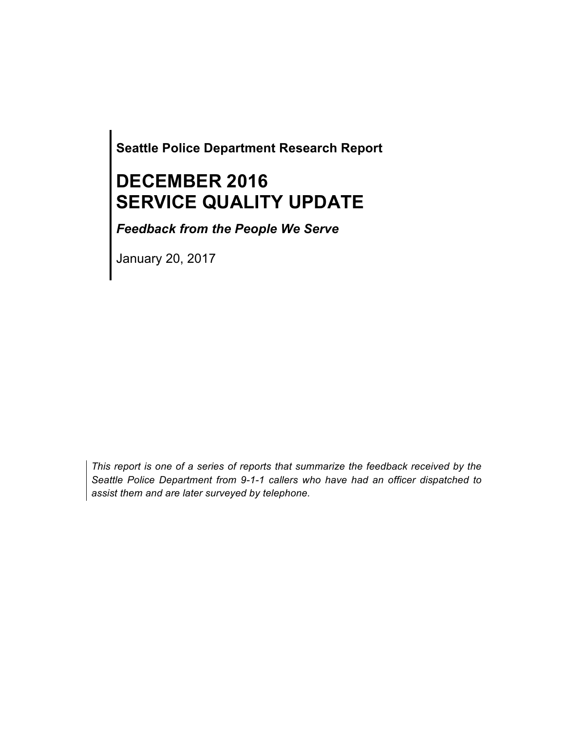**Seattle Police Department Research Report**

# **DECEMBER 2016 SERVICE QUALITY UPDATE**

*Feedback from the People We Serve*

January 20, 2017

*This report is one of a series of reports that summarize the feedback received by the Seattle Police Department from 9-1-1 callers who have had an officer dispatched to assist them and are later surveyed by telephone.*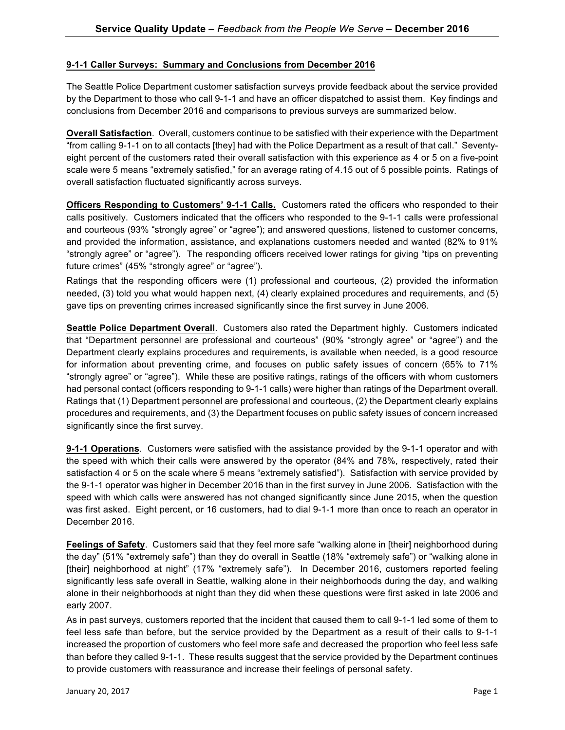#### **9-1-1 Caller Surveys: Summary and Conclusions from December 2016**

The Seattle Police Department customer satisfaction surveys provide feedback about the service provided by the Department to those who call 9-1-1 and have an officer dispatched to assist them. Key findings and conclusions from December 2016 and comparisons to previous surveys are summarized below.

**Overall Satisfaction**. Overall, customers continue to be satisfied with their experience with the Department "from calling 9-1-1 on to all contacts [they] had with the Police Department as a result of that call." Seventyeight percent of the customers rated their overall satisfaction with this experience as 4 or 5 on a five-point scale were 5 means "extremely satisfied," for an average rating of 4.15 out of 5 possible points. Ratings of overall satisfaction fluctuated significantly across surveys.

**Officers Responding to Customers' 9-1-1 Calls.** Customers rated the officers who responded to their calls positively. Customers indicated that the officers who responded to the 9-1-1 calls were professional and courteous (93% "strongly agree" or "agree"); and answered questions, listened to customer concerns, and provided the information, assistance, and explanations customers needed and wanted (82% to 91% "strongly agree" or "agree"). The responding officers received lower ratings for giving "tips on preventing future crimes" (45% "strongly agree" or "agree").

Ratings that the responding officers were (1) professional and courteous, (2) provided the information needed, (3) told you what would happen next, (4) clearly explained procedures and requirements, and (5) gave tips on preventing crimes increased significantly since the first survey in June 2006.

**Seattle Police Department Overall**. Customers also rated the Department highly. Customers indicated that "Department personnel are professional and courteous" (90% "strongly agree" or "agree") and the Department clearly explains procedures and requirements, is available when needed, is a good resource for information about preventing crime, and focuses on public safety issues of concern (65% to 71% "strongly agree" or "agree"). While these are positive ratings, ratings of the officers with whom customers had personal contact (officers responding to 9-1-1 calls) were higher than ratings of the Department overall. Ratings that (1) Department personnel are professional and courteous, (2) the Department clearly explains procedures and requirements, and (3) the Department focuses on public safety issues of concern increased significantly since the first survey.

**9-1-1 Operations**. Customers were satisfied with the assistance provided by the 9-1-1 operator and with the speed with which their calls were answered by the operator (84% and 78%, respectively, rated their satisfaction 4 or 5 on the scale where 5 means "extremely satisfied"). Satisfaction with service provided by the 9-1-1 operator was higher in December 2016 than in the first survey in June 2006. Satisfaction with the speed with which calls were answered has not changed significantly since June 2015, when the question was first asked. Eight percent, or 16 customers, had to dial 9-1-1 more than once to reach an operator in December 2016.

**Feelings of Safety**. Customers said that they feel more safe "walking alone in [their] neighborhood during the day" (51% "extremely safe") than they do overall in Seattle (18% "extremely safe") or "walking alone in [their] neighborhood at night" (17% "extremely safe"). In December 2016, customers reported feeling significantly less safe overall in Seattle, walking alone in their neighborhoods during the day, and walking alone in their neighborhoods at night than they did when these questions were first asked in late 2006 and early 2007.

As in past surveys, customers reported that the incident that caused them to call 9-1-1 led some of them to feel less safe than before, but the service provided by the Department as a result of their calls to 9-1-1 increased the proportion of customers who feel more safe and decreased the proportion who feel less safe than before they called 9-1-1. These results suggest that the service provided by the Department continues to provide customers with reassurance and increase their feelings of personal safety.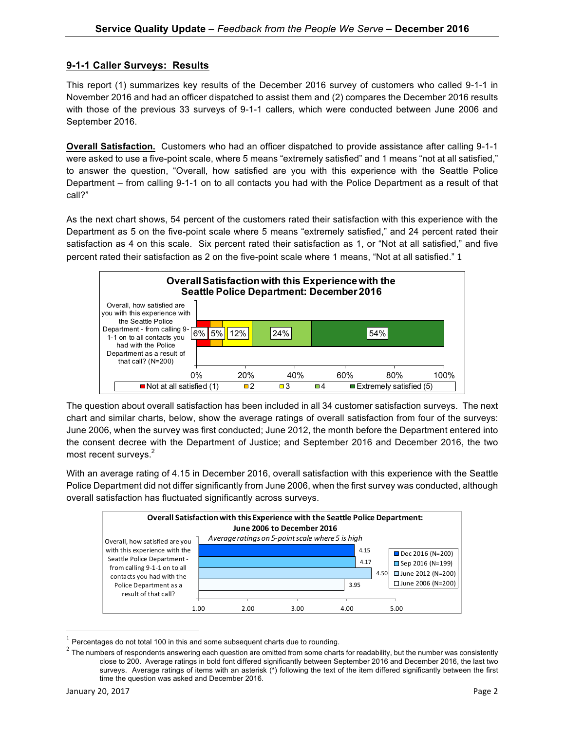#### **9-1-1 Caller Surveys: Results**

This report (1) summarizes key results of the December 2016 survey of customers who called 9-1-1 in November 2016 and had an officer dispatched to assist them and (2) compares the December 2016 results with those of the previous 33 surveys of 9-1-1 callers, which were conducted between June 2006 and September 2016.

**Overall Satisfaction.** Customers who had an officer dispatched to provide assistance after calling 9-1-1 were asked to use a five-point scale, where 5 means "extremely satisfied" and 1 means "not at all satisfied," to answer the question, "Overall, how satisfied are you with this experience with the Seattle Police Department – from calling 9-1-1 on to all contacts you had with the Police Department as a result of that call?"

As the next chart shows, 54 percent of the customers rated their satisfaction with this experience with the Department as 5 on the five-point scale where 5 means "extremely satisfied," and 24 percent rated their satisfaction as 4 on this scale. Six percent rated their satisfaction as 1, or "Not at all satisfied," and five percent rated their satisfaction as 2 on the five-point scale where 1 means, "Not at all satisfied." 1



The question about overall satisfaction has been included in all 34 customer satisfaction surveys. The next chart and similar charts, below, show the average ratings of overall satisfaction from four of the surveys: June 2006, when the survey was first conducted; June 2012, the month before the Department entered into the consent decree with the Department of Justice; and September 2016 and December 2016, the two most recent surveys.<sup>2</sup>

With an average rating of 4.15 in December 2016, overall satisfaction with this experience with the Seattle Police Department did not differ significantly from June 2006, when the first survey was conducted, although overall satisfaction has fluctuated significantly across surveys.



 $1$  Percentages do not total 100 in this and some subsequent charts due to rounding.

<u> 1989 - Johann Barn, mars ann an t-Amhain an t-Amhain an t-Amhain an t-Amhain an t-Amhain an t-Amhain an t-Amh</u>

 $2$  The numbers of respondents answering each question are omitted from some charts for readability, but the number was consistently close to 200. Average ratings in bold font differed significantly between September 2016 and December 2016, the last two surveys. Average ratings of items with an asterisk (\*) following the text of the item differed significantly between the first time the question was asked and December 2016.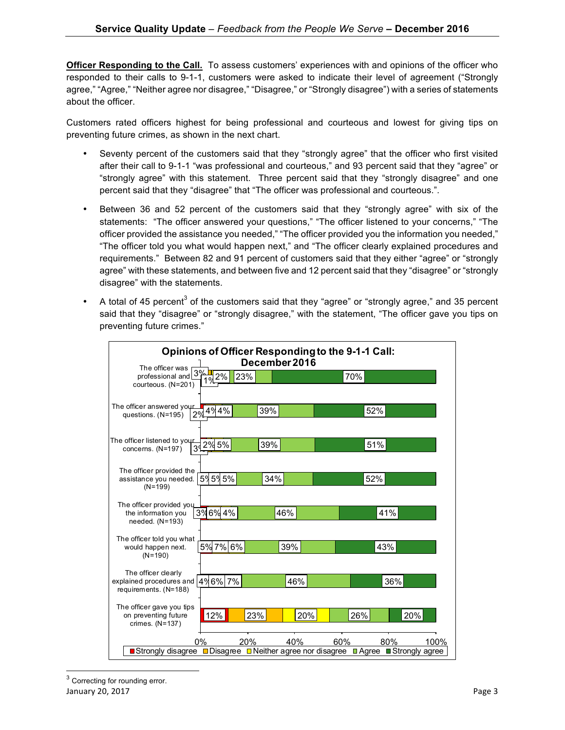**Officer Responding to the Call.** To assess customers' experiences with and opinions of the officer who responded to their calls to 9-1-1, customers were asked to indicate their level of agreement ("Strongly agree," "Agree," "Neither agree nor disagree," "Disagree," or "Strongly disagree") with a series of statements about the officer.

Customers rated officers highest for being professional and courteous and lowest for giving tips on preventing future crimes, as shown in the next chart.

- Seventy percent of the customers said that they "strongly agree" that the officer who first visited after their call to 9-1-1 "was professional and courteous," and 93 percent said that they "agree" or "strongly agree" with this statement. Three percent said that they "strongly disagree" and one percent said that they "disagree" that "The officer was professional and courteous.".
- Between 36 and 52 percent of the customers said that they "strongly agree" with six of the statements: "The officer answered your questions," "The officer listened to your concerns," "The officer provided the assistance you needed," "The officer provided you the information you needed," "The officer told you what would happen next," and "The officer clearly explained procedures and requirements." Between 82 and 91 percent of customers said that they either "agree" or "strongly agree" with these statements, and between five and 12 percent said that they "disagree" or "strongly disagree" with the statements.
- A total of 45 percent<sup>3</sup> of the customers said that they "agree" or "strongly agree," and 35 percent said that they "disagree" or "strongly disagree," with the statement, "The officer gave you tips on preventing future crimes."

| Opinions of Officer Responding to the 9-1-1 Call:                                 |                    |  |  |  |  |
|-----------------------------------------------------------------------------------|--------------------|--|--|--|--|
| December 2016<br>The officer was                                                  |                    |  |  |  |  |
| professional and 3%<br>2%<br>23%<br>$\mathbf{o}_{\ell}$                           | 70%                |  |  |  |  |
| courteous. (N=201)                                                                |                    |  |  |  |  |
|                                                                                   |                    |  |  |  |  |
| The officer answered your<br>4%4%<br>39%                                          | 52%                |  |  |  |  |
| 2%<br>questions. (N=195)                                                          |                    |  |  |  |  |
|                                                                                   |                    |  |  |  |  |
| The officer listened to your<br>39%                                               | 51%                |  |  |  |  |
| $\frac{1}{3}$ 2% 5%<br>concerns. (N=197)                                          |                    |  |  |  |  |
|                                                                                   |                    |  |  |  |  |
| The officer provided the                                                          |                    |  |  |  |  |
| 59595%<br>34%<br>assistance you needed.<br>$(N=199)$                              | 52%                |  |  |  |  |
|                                                                                   |                    |  |  |  |  |
| The officer provided you                                                          |                    |  |  |  |  |
| 3%6%4%<br>46%<br>the information you                                              | 41%                |  |  |  |  |
| needed. $(N=193)$                                                                 |                    |  |  |  |  |
| The officer told you what                                                         |                    |  |  |  |  |
| 5% 7% 6%<br>39%<br>would happen next.                                             | 43%                |  |  |  |  |
| $(N=190)$                                                                         |                    |  |  |  |  |
| The officer clearly                                                               |                    |  |  |  |  |
| 4%6% 7%<br>explained procedures and<br>46%                                        | 36%                |  |  |  |  |
| requirements. (N=188)                                                             |                    |  |  |  |  |
|                                                                                   |                    |  |  |  |  |
| The officer gave you tips<br>12%<br>on preventing future<br>23%<br>20%            | 26%<br>20%         |  |  |  |  |
| crimes. (N=137)                                                                   |                    |  |  |  |  |
|                                                                                   |                    |  |  |  |  |
| $0\%$<br>20%<br>40%                                                               | 60%<br>80%<br>100% |  |  |  |  |
| ■Strongly disagree ■Disagree □Neither agree nor disagree ■ Agree ■ Strongly agree |                    |  |  |  |  |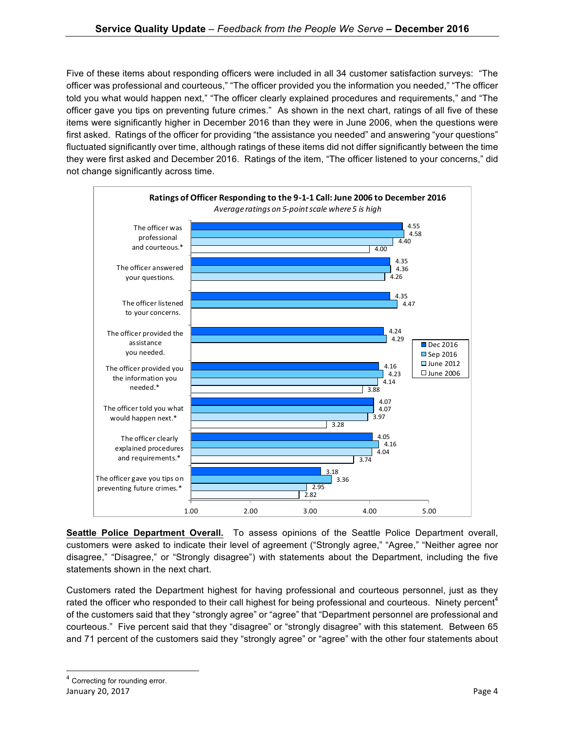Five of these items about responding officers were included in all 34 customer satisfaction surveys: "The officer was professional and courteous," "The officer provided you the information you needed," "The officer told you what would happen next," "The officer clearly explained procedures and requirements," and "The officer gave you tips on preventing future crimes." As shown in the next chart, ratings of all five of these items were significantly higher in December 2016 than they were in June 2006, when the questions were first asked. Ratings of the officer for providing "the assistance you needed" and answering "your questions" fluctuated significantly over time, although ratings of these items did not differ significantly between the time they were first asked and December 2016. Ratings of the item, "The officer listened to your concerns," did not change significantly across time.



**Seattle Police Department Overall.** To assess opinions of the Seattle Police Department overall, customers were asked to indicate their level of agreement ("Strongly agree," "Agree," "Neither agree nor disagree," "Disagree," or "Strongly disagree") with statements about the Department, including the five statements shown in the next chart.

Customers rated the Department highest for having professional and courteous personnel, just as they rated the officer who responded to their call highest for being professional and courteous. Ninety percent<sup>4</sup> of the customers said that they "strongly agree" or "agree" that "Department personnel are professional and courteous." Five percent said that they "disagree" or "strongly disagree" with this statement. Between 65 and 71 percent of the customers said they "strongly agree" or "agree" with the other four statements about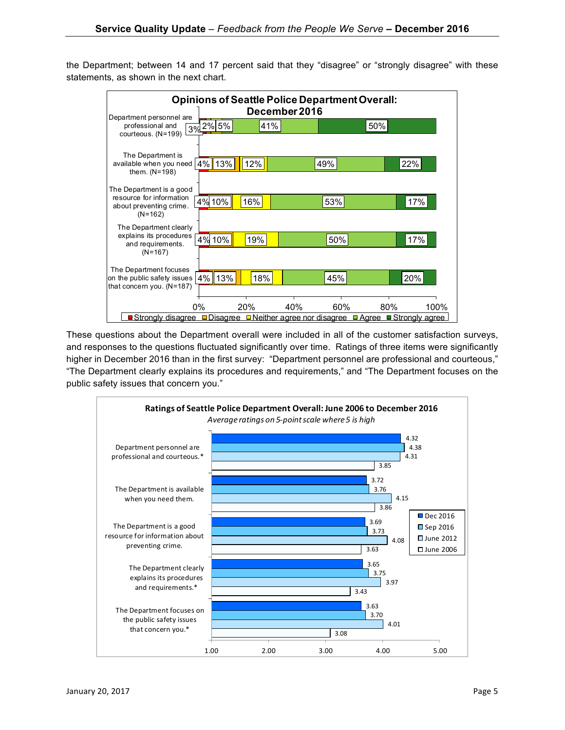the Department; between 14 and 17 percent said that they "disagree" or "strongly disagree" with these statements, as shown in the next chart.



These questions about the Department overall were included in all of the customer satisfaction surveys, and responses to the questions fluctuated significantly over time. Ratings of three items were significantly higher in December 2016 than in the first survey: "Department personnel are professional and courteous," "The Department clearly explains its procedures and requirements," and "The Department focuses on the public safety issues that concern you."

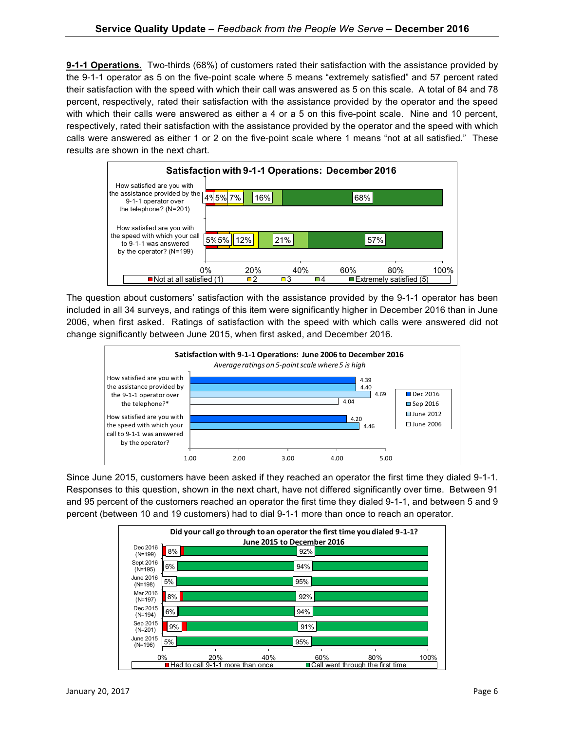**9-1-1 Operations.** Two-thirds (68%) of customers rated their satisfaction with the assistance provided by the 9-1-1 operator as 5 on the five-point scale where 5 means "extremely satisfied" and 57 percent rated their satisfaction with the speed with which their call was answered as 5 on this scale. A total of 84 and 78 percent, respectively, rated their satisfaction with the assistance provided by the operator and the speed with which their calls were answered as either a 4 or a 5 on this five-point scale. Nine and 10 percent, respectively, rated their satisfaction with the assistance provided by the operator and the speed with which calls were answered as either 1 or 2 on the five-point scale where 1 means "not at all satisfied." These results are shown in the next chart.



The question about customers' satisfaction with the assistance provided by the 9-1-1 operator has been included in all 34 surveys, and ratings of this item were significantly higher in December 2016 than in June 2006, when first asked. Ratings of satisfaction with the speed with which calls were answered did not change significantly between June 2015, when first asked, and December 2016.



Since June 2015, customers have been asked if they reached an operator the first time they dialed 9-1-1. Responses to this question, shown in the next chart, have not differed significantly over time. Between 91 and 95 percent of the customers reached an operator the first time they dialed 9-1-1, and between 5 and 9 percent (between 10 and 19 customers) had to dial 9-1-1 more than once to reach an operator.

|                                                                          |     | Did your call go through to an operator the first time you dialed 9-1-1? |            |      |
|--------------------------------------------------------------------------|-----|--------------------------------------------------------------------------|------------|------|
| Dec 2016<br>8%                                                           |     | June 2015 to December 2016<br>92%                                        |            |      |
| $(N=199)$<br>Sept 2016                                                   |     |                                                                          |            |      |
| 6%<br>$(N=195)$                                                          |     | 94%                                                                      |            |      |
| June 2016<br>5%<br>$(N=198)$                                             |     | 95%                                                                      |            |      |
| Mar 2016<br>8%<br>$(N=197)$                                              |     | 92%                                                                      |            |      |
| Dec 2015<br>6%<br>$(N=194)$                                              |     | 94%                                                                      |            |      |
| Sep 2015<br>9%<br>$(N=201)$                                              |     | 91%                                                                      |            |      |
| June 2015<br>5%<br>$(N=196)$                                             |     | 95%                                                                      |            |      |
| 0%                                                                       | 20% | 40%                                                                      | 60%<br>80% | 100% |
| ■ Had to call 9-1-1 more than once<br>■ Call went through the first time |     |                                                                          |            |      |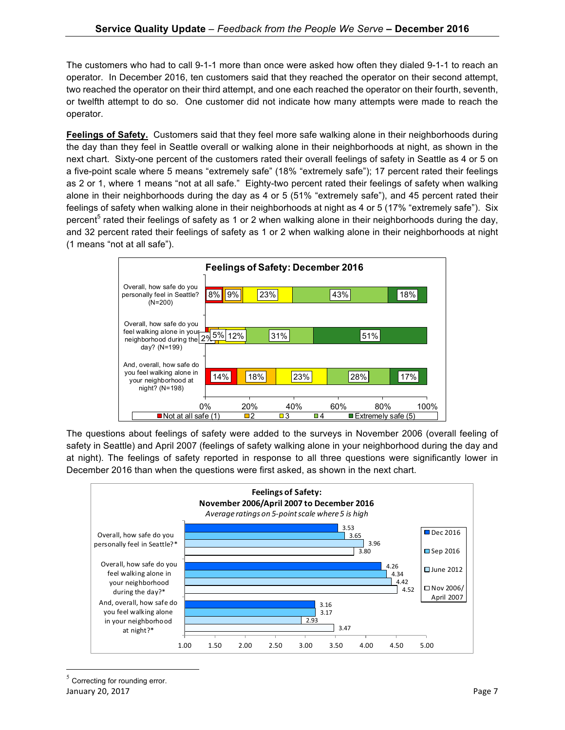The customers who had to call 9-1-1 more than once were asked how often they dialed 9-1-1 to reach an operator. In December 2016, ten customers said that they reached the operator on their second attempt, two reached the operator on their third attempt, and one each reached the operator on their fourth, seventh, or twelfth attempt to do so. One customer did not indicate how many attempts were made to reach the operator.

**Feelings of Safety.** Customers said that they feel more safe walking alone in their neighborhoods during the day than they feel in Seattle overall or walking alone in their neighborhoods at night, as shown in the next chart. Sixty-one percent of the customers rated their overall feelings of safety in Seattle as 4 or 5 on a five-point scale where 5 means "extremely safe" (18% "extremely safe"); 17 percent rated their feelings as 2 or 1, where 1 means "not at all safe." Eighty-two percent rated their feelings of safety when walking alone in their neighborhoods during the day as 4 or 5 (51% "extremely safe"), and 45 percent rated their feelings of safety when walking alone in their neighborhoods at night as 4 or 5 (17% "extremely safe"). Six percent<sup>5</sup> rated their feelings of safety as 1 or 2 when walking alone in their neighborhoods during the day, and 32 percent rated their feelings of safety as 1 or 2 when walking alone in their neighborhoods at night (1 means "not at all safe").



The questions about feelings of safety were added to the surveys in November 2006 (overall feeling of safety in Seattle) and April 2007 (feelings of safety walking alone in your neighborhood during the day and at night). The feelings of safety reported in response to all three questions were significantly lower in December 2016 than when the questions were first asked, as shown in the next chart.



<u> 1989 - Johann Barn, mars ann an t-Amhain an t-Amhain an t-Amhain an t-Amhain an t-Amhain an t-Amhain an t-Amh</u>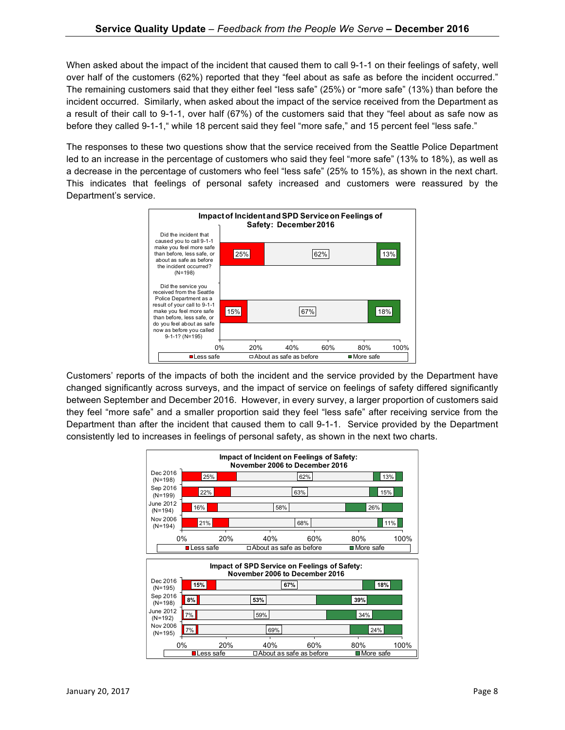When asked about the impact of the incident that caused them to call 9-1-1 on their feelings of safety, well over half of the customers (62%) reported that they "feel about as safe as before the incident occurred." The remaining customers said that they either feel "less safe" (25%) or "more safe" (13%) than before the incident occurred. Similarly, when asked about the impact of the service received from the Department as a result of their call to 9-1-1, over half (67%) of the customers said that they "feel about as safe now as before they called 9-1-1," while 18 percent said they feel "more safe," and 15 percent feel "less safe."

The responses to these two questions show that the service received from the Seattle Police Department led to an increase in the percentage of customers who said they feel "more safe" (13% to 18%), as well as a decrease in the percentage of customers who feel "less safe" (25% to 15%), as shown in the next chart. This indicates that feelings of personal safety increased and customers were reassured by the Department's service.



Customers' reports of the impacts of both the incident and the service provided by the Department have changed significantly across surveys, and the impact of service on feelings of safety differed significantly between September and December 2016. However, in every survey, a larger proportion of customers said they feel "more safe" and a smaller proportion said they feel "less safe" after receiving service from the Department than after the incident that caused them to call 9-1-1. Service provided by the Department consistently led to increases in feelings of personal safety, as shown in the next two charts.